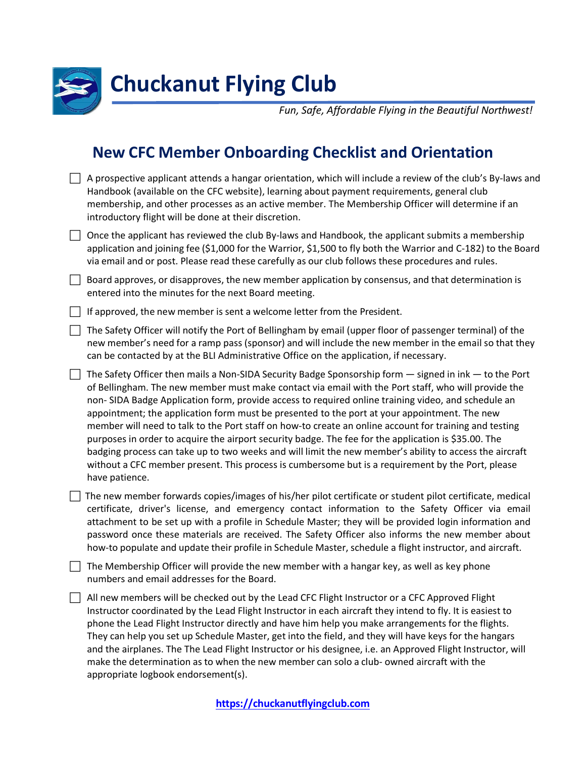

## **Chuckanut Flying Club**

*Fun, Safe, Affordable Flying in the Beautiful Northwest!*

## **New CFC Member Onboarding Checklist and Orientation**

| $\Box$ A prospective applicant attends a hangar orientation, which will include a review of the club's By-laws and |
|--------------------------------------------------------------------------------------------------------------------|
| Handbook (available on the CFC website), learning about payment requirements, general club                         |
| membership, and other processes as an active member. The Membership Officer will determine if an                   |
| introductory flight will be done at their discretion.                                                              |

 $\Box$  Once the applicant has reviewed the club By-laws and Handbook, the applicant submits a membership application and joining fee (\$1,000 for the Warrior, \$1,500 to fly both the Warrior and C-182) to the Board via email and or post. Please read these carefully as our club follows these procedures and rules.

 $\Box$  Board approves, or disapproves, the new member application by consensus, and that determination is entered into the minutes for the next Board meeting.

If approved, the new member is sent a welcome letter from the President.

 $\Box$  The Safety Officer will notify the Port of Bellingham by email (upper floor of passenger terminal) of the new member's need for a ramp pass (sponsor) and will include the new member in the email so that they can be contacted by at the BLI Administrative Office on the application, if necessary.

 $\Box$  The Safety Officer then mails a Non-SIDA Security Badge Sponsorship form  $-$  signed in ink  $-$  to the Port of Bellingham. The new member must make contact via email with the Port staff, who will provide the non- SIDA Badge Application form, provide access to required online training video, and schedule an appointment; the application form must be presented to the port at your appointment. The new member will need to talk to the Port staff on how-to create an online account for training and testing purposes in order to acquire the airport security badge. The fee for the application is \$35.00. The badging process can take up to two weeks and will limit the new member's ability to access the aircraft without a CFC member present. This process is cumbersome but is a requirement by the Port, please have patience.

 $\Box$  The new member forwards copies/images of his/her pilot certificate or student pilot certificate, medical certificate, driver's license, and emergency contact information to the Safety Officer via email attachment to be set up with a profile in Schedule Master; they will be provided login information and password once these materials are received. The Safety Officer also informs the new member about how-to populate and update their profile in Schedule Master, schedule a flight instructor, and aircraft.

 $\Box$  The Membership Officer will provide the new member with a hangar key, as well as key phone numbers and email addresses for the Board.

 $\Box$  All new members will be checked out by the Lead CFC Flight Instructor or a CFC Approved Flight Instructor coordinated by the Lead Flight Instructor in each aircraft they intend to fly. It is easiest to phone the Lead Flight Instructor directly and have him help you make arrangements for the flights. They can help you set up Schedule Master, get into the field, and they will have keys for the hangars and the airplanes. The The Lead Flight Instructor or his designee, i.e. an Approved Flight Instructor, will make the determination as to when the new member can solo a club- owned aircraft with the appropriate logbook endorsement(s).